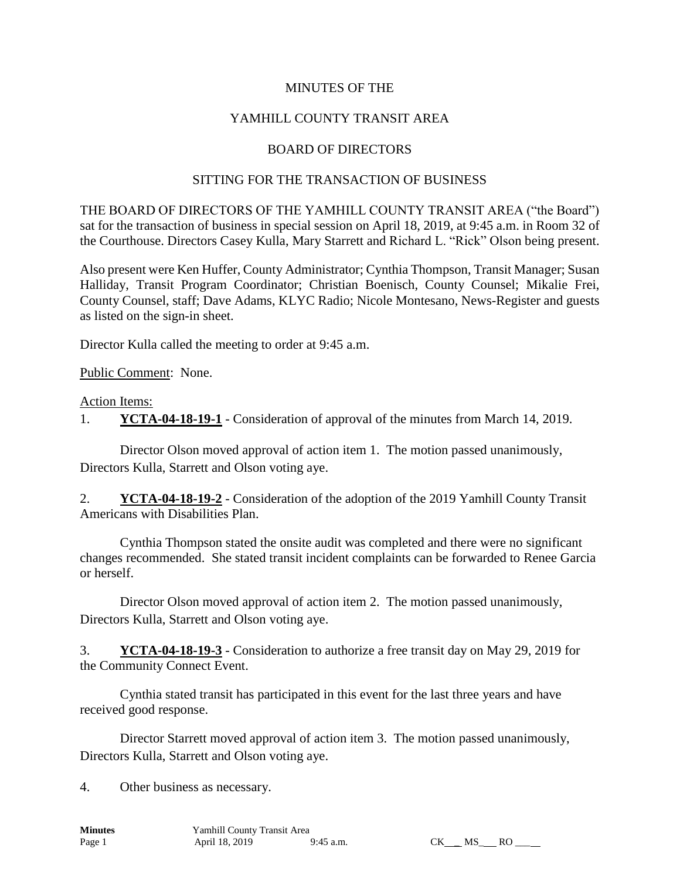### MINUTES OF THE

## YAMHILL COUNTY TRANSIT AREA

### BOARD OF DIRECTORS

#### SITTING FOR THE TRANSACTION OF BUSINESS

THE BOARD OF DIRECTORS OF THE YAMHILL COUNTY TRANSIT AREA ("the Board") sat for the transaction of business in special session on April 18, 2019, at 9:45 a.m. in Room 32 of the Courthouse. Directors Casey Kulla, Mary Starrett and Richard L. "Rick" Olson being present.

Also present were Ken Huffer, County Administrator; Cynthia Thompson, Transit Manager; Susan Halliday, Transit Program Coordinator; Christian Boenisch, County Counsel; Mikalie Frei, County Counsel, staff; Dave Adams, KLYC Radio; Nicole Montesano, News-Register and guests as listed on the sign-in sheet.

Director Kulla called the meeting to order at 9:45 a.m.

Public Comment: None.

Action Items:

1. **YCTA-04-18-19-1** - Consideration of approval of the minutes from March 14, 2019.

Director Olson moved approval of action item 1. The motion passed unanimously, Directors Kulla, Starrett and Olson voting aye.

2. **YCTA-04-18-19-2** - Consideration of the adoption of the 2019 Yamhill County Transit Americans with Disabilities Plan.

Cynthia Thompson stated the onsite audit was completed and there were no significant changes recommended. She stated transit incident complaints can be forwarded to Renee Garcia or herself.

Director Olson moved approval of action item 2. The motion passed unanimously, Directors Kulla, Starrett and Olson voting aye.

3. **YCTA-04-18-19-3** - Consideration to authorize a free transit day on May 29, 2019 for the Community Connect Event.

Cynthia stated transit has participated in this event for the last three years and have received good response.

Director Starrett moved approval of action item 3. The motion passed unanimously, Directors Kulla, Starrett and Olson voting aye.

4. Other business as necessary.